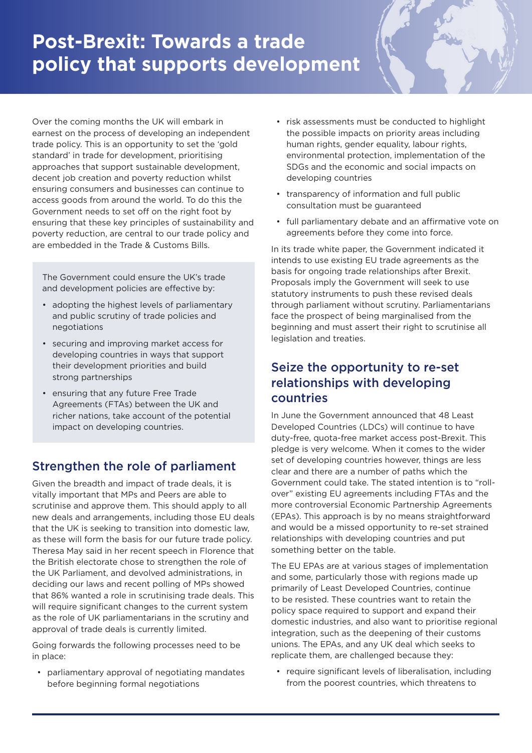## **Post-Brexit: Towards a trade policy that supports development**

Over the coming months the UK will embark in earnest on the process of developing an independent trade policy. This is an opportunity to set the 'gold standard' in trade for development, prioritising approaches that support sustainable development, decent job creation and poverty reduction whilst ensuring consumers and businesses can continue to access goods from around the world. To do this the Government needs to set off on the right foot by ensuring that these key principles of sustainability and poverty reduction, are central to our trade policy and are embedded in the Trade & Customs Bills.

The Government could ensure the UK's trade and development policies are effective by:

- adopting the highest levels of parliamentary and public scrutiny of trade policies and negotiations
- securing and improving market access for developing countries in ways that support their development priorities and build strong partnerships
- ensuring that any future Free Trade Agreements (FTAs) between the UK and richer nations, take account of the potential impact on developing countries.

## Strengthen the role of parliament

Given the breadth and impact of trade deals, it is vitally important that MPs and Peers are able to scrutinise and approve them. This should apply to all new deals and arrangements, including those EU deals that the UK is seeking to transition into domestic law, as these will form the basis for our future trade policy. Theresa May said in her recent speech in Florence that the British electorate chose to strengthen the role of the UK Parliament, and devolved administrations, in deciding our laws and recent polling of MPs showed that 86% wanted a role in scrutinising trade deals. This will require significant changes to the current system as the role of UK parliamentarians in the scrutiny and approval of trade deals is currently limited.

Going forwards the following processes need to be in place:

• parliamentary approval of negotiating mandates before beginning formal negotiations

- risk assessments must be conducted to highlight the possible impacts on priority areas including human rights, gender equality, labour rights, environmental protection, implementation of the SDGs and the economic and social impacts on developing countries
- transparency of information and full public consultation must be guaranteed
- full parliamentary debate and an affirmative vote on agreements before they come into force.

In its trade white paper, the Government indicated it intends to use existing EU trade agreements as the basis for ongoing trade relationships after Brexit. Proposals imply the Government will seek to use statutory instruments to push these revised deals through parliament without scrutiny. Parliamentarians face the prospect of being marginalised from the beginning and must assert their right to scrutinise all legislation and treaties.

## Seize the opportunity to re-set relationships with developing countries

In June the Government announced that 48 Least Developed Countries (LDCs) will continue to have duty-free, quota-free market access post-Brexit. This pledge is very welcome. When it comes to the wider set of developing countries however, things are less clear and there are a number of paths which the Government could take. The stated intention is to "rollover" existing EU agreements including FTAs and the more controversial Economic Partnership Agreements (EPAs). This approach is by no means straightforward and would be a missed opportunity to re-set strained relationships with developing countries and put something better on the table.

The EU EPAs are at various stages of implementation and some, particularly those with regions made up primarily of Least Developed Countries, continue to be resisted. These countries want to retain the policy space required to support and expand their domestic industries, and also want to prioritise regional integration, such as the deepening of their customs unions. The EPAs, and any UK deal which seeks to replicate them, are challenged because they:

• require significant levels of liberalisation, including from the poorest countries, which threatens to